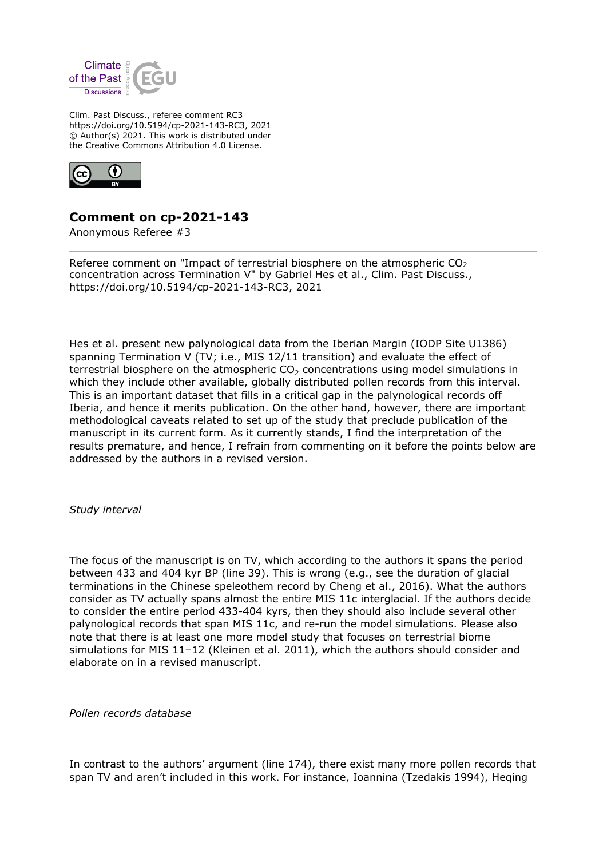

Clim. Past Discuss., referee comment RC3 https://doi.org/10.5194/cp-2021-143-RC3, 2021 © Author(s) 2021. This work is distributed under the Creative Commons Attribution 4.0 License.



## **Comment on cp-2021-143**

Anonymous Referee #3

Referee comment on "Impact of terrestrial biosphere on the atmospheric  $CO<sub>2</sub>$ concentration across Termination V" by Gabriel Hes et al., Clim. Past Discuss., https://doi.org/10.5194/cp-2021-143-RC3, 2021

Hes et al. present new palynological data from the Iberian Margin (IODP Site U1386) spanning Termination V (TV; i.e., MIS 12/11 transition) and evaluate the effect of terrestrial biosphere on the atmospheric  $CO<sub>2</sub>$  concentrations using model simulations in which they include other available, globally distributed pollen records from this interval. This is an important dataset that fills in a critical gap in the palynological records off Iberia, and hence it merits publication. On the other hand, however, there are important methodological caveats related to set up of the study that preclude publication of the manuscript in its current form. As it currently stands, I find the interpretation of the results premature, and hence, I refrain from commenting on it before the points below are addressed by the authors in a revised version.

*Study interval*

The focus of the manuscript is on TV, which according to the authors it spans the period between 433 and 404 kyr BP (line 39). This is wrong (e.g., see the duration of glacial terminations in the Chinese speleothem record by Cheng et al., 2016). What the authors consider as TV actually spans almost the entire MIS 11c interglacial. If the authors decide to consider the entire period 433-404 kyrs, then they should also include several other palynological records that span MIS 11c, and re-run the model simulations. Please also note that there is at least one more model study that focuses on terrestrial biome simulations for MIS 11–12 (Kleinen et al. 2011), which the authors should consider and elaborate on in a revised manuscript.

*Pollen records database*

In contrast to the authors' argument (line 174), there exist many more pollen records that span TV and aren't included in this work. For instance, Ioannina (Tzedakis 1994), Heqing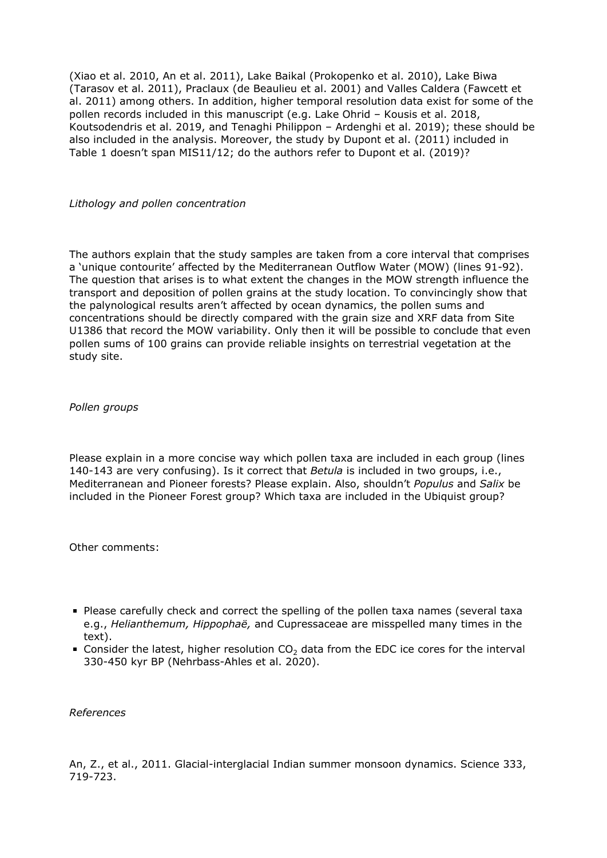(Xiao et al. 2010, An et al. 2011), Lake Baikal (Prokopenko et al. 2010), Lake Biwa (Tarasov et al. 2011), Praclaux (de Beaulieu et al. 2001) and Valles Caldera (Fawcett et al. 2011) among others. In addition, higher temporal resolution data exist for some of the pollen records included in this manuscript (e.g. Lake Ohrid – Kousis et al. 2018, Koutsodendris et al. 2019, and Tenaghi Philippon – Ardenghi et al. 2019); these should be also included in the analysis. Moreover, the study by Dupont et al. (2011) included in Table 1 doesn't span MIS11/12; do the authors refer to Dupont et al. (2019)?

## *Lithology and pollen concentration*

The authors explain that the study samples are taken from a core interval that comprises a 'unique contourite' affected by the Mediterranean Outflow Water (MOW) (lines 91-92). The question that arises is to what extent the changes in the MOW strength influence the transport and deposition of pollen grains at the study location. To convincingly show that the palynological results aren't affected by ocean dynamics, the pollen sums and concentrations should be directly compared with the grain size and XRF data from Site U1386 that record the MOW variability. Only then it will be possible to conclude that even pollen sums of 100 grains can provide reliable insights on terrestrial vegetation at the study site.

## *Pollen groups*

Please explain in a more concise way which pollen taxa are included in each group (lines 140-143 are very confusing). Is it correct that *Betula* is included in two groups, i.e., Mediterranean and Pioneer forests? Please explain. Also, shouldn't *Populus* and *Salix* be included in the Pioneer Forest group? Which taxa are included in the Ubiquist group?

Other comments:

- Please carefully check and correct the spelling of the pollen taxa names (several taxa e.g., *Helianthemum, Hippophaë,* and Cupressaceae are misspelled many times in the text).
- Consider the latest, higher resolution  $CO<sub>2</sub>$  data from the EDC ice cores for the interval 330-450 kyr BP (Nehrbass-Ahles et al. 2020).

*References*

An, Z., et al., 2011. Glacial-interglacial Indian summer monsoon dynamics. Science 333, 719-723.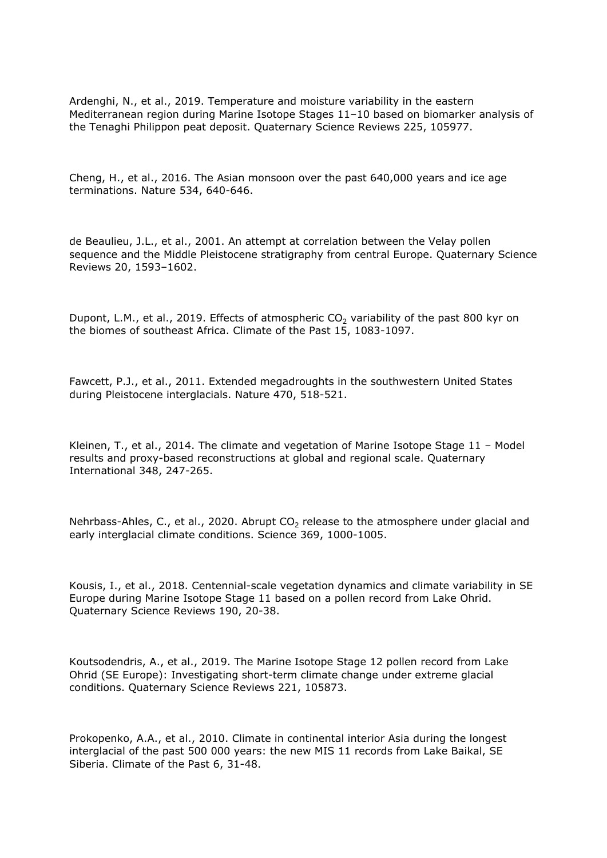Ardenghi, N., et al., 2019. Temperature and moisture variability in the eastern Mediterranean region during Marine Isotope Stages 11–10 based on biomarker analysis of the Tenaghi Philippon peat deposit. Quaternary Science Reviews 225, 105977.

Cheng, H., et al., 2016. The Asian monsoon over the past 640,000 years and ice age terminations. Nature 534, 640-646.

de Beaulieu, J.L., et al., 2001. An attempt at correlation between the Velay pollen sequence and the Middle Pleistocene stratigraphy from central Europe. Quaternary Science Reviews 20, 1593–1602.

Dupont, L.M., et al., 2019. Effects of atmospheric  $CO<sub>2</sub>$  variability of the past 800 kyr on the biomes of southeast Africa. Climate of the Past 15, 1083-1097.

Fawcett, P.J., et al., 2011. Extended megadroughts in the southwestern United States during Pleistocene interglacials. Nature 470, 518-521.

Kleinen, T., et al., 2014. The climate and vegetation of Marine Isotope Stage 11 – Model results and proxy-based reconstructions at global and regional scale. Quaternary International 348, 247-265.

Nehrbass-Ahles, C., et al., 2020. Abrupt  $CO<sub>2</sub>$  release to the atmosphere under glacial and early interglacial climate conditions. Science 369, 1000-1005.

Kousis, I., et al., 2018. Centennial-scale vegetation dynamics and climate variability in SE Europe during Marine Isotope Stage 11 based on a pollen record from Lake Ohrid. Quaternary Science Reviews 190, 20-38.

Koutsodendris, A., et al., 2019. The Marine Isotope Stage 12 pollen record from Lake Ohrid (SE Europe): Investigating short-term climate change under extreme glacial conditions. Quaternary Science Reviews 221, 105873.

Prokopenko, A.A., et al., 2010. Climate in continental interior Asia during the longest interglacial of the past 500 000 years: the new MIS 11 records from Lake Baikal, SE Siberia. Climate of the Past 6, 31-48.